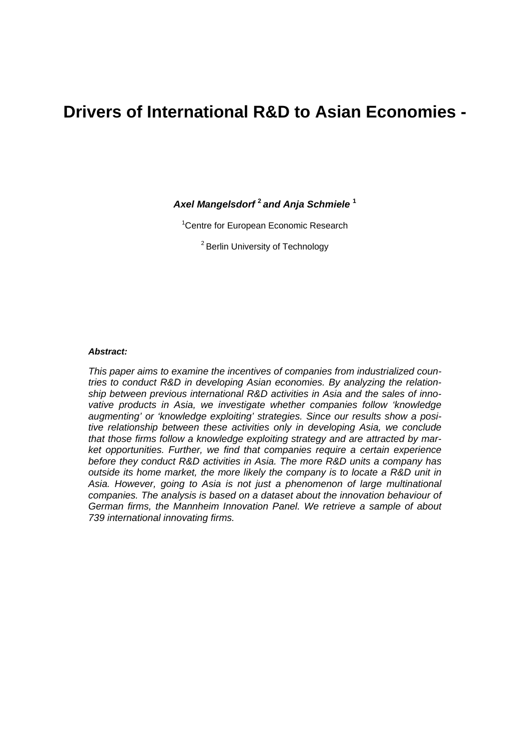# **Drivers of International R&D to Asian Economies -**

*Axel Mangelsdorf* **<sup>2</sup>***and Anja Schmiele* **<sup>1</sup>**

<sup>1</sup> Centre for European Economic Research

2 Berlin University of Technology

#### *Abstract:*

*This paper aims to examine the incentives of companies from industrialized countries to conduct R&D in developing Asian economies. By analyzing the relationship between previous international R&D activities in Asia and the sales of innovative products in Asia, we investigate whether companies follow 'knowledge augmenting' or 'knowledge exploiting' strategies. Since our results show a positive relationship between these activities only in developing Asia, we conclude that those firms follow a knowledge exploiting strategy and are attracted by market opportunities. Further, we find that companies require a certain experience before they conduct R&D activities in Asia. The more R&D units a company has outside its home market, the more likely the company is to locate a R&D unit in Asia. However, going to Asia is not just a phenomenon of large multinational companies. The analysis is based on a dataset about the innovation behaviour of German firms, the Mannheim Innovation Panel. We retrieve a sample of about 739 international innovating firms.*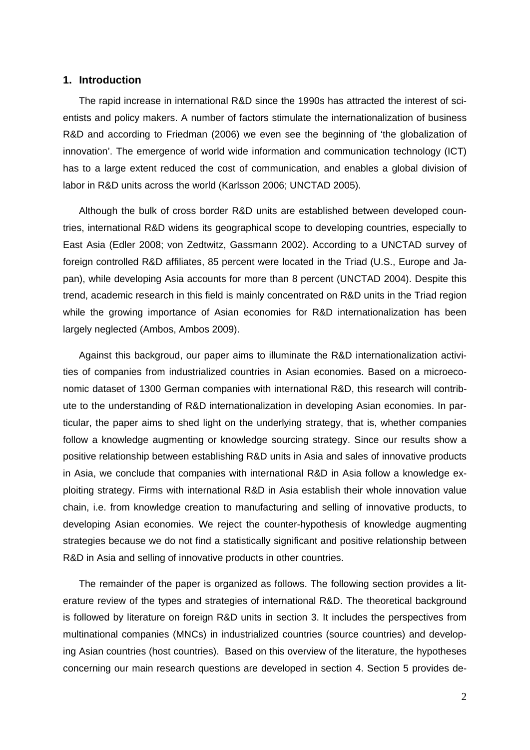### **1. Introduction**

The rapid increase in international R&D since the 1990s has attracted the interest of scientists and policy makers. A number of factors stimulate the internationalization of business R&D and according to Friedman (2006) we even see the beginning of 'the globalization of innovation'. The emergence of world wide information and communication technology (ICT) has to a large extent reduced the cost of communication, and enables a global division of labor in R&D units across the world (Karlsson 2006; UNCTAD 2005).

Although the bulk of cross border R&D units are established between developed countries, international R&D widens its geographical scope to developing countries, especially to East Asia (Edler 2008; von Zedtwitz, Gassmann 2002). According to a UNCTAD survey of foreign controlled R&D affiliates, 85 percent were located in the Triad (U.S., Europe and Japan), while developing Asia accounts for more than 8 percent (UNCTAD 2004). Despite this trend, academic research in this field is mainly concentrated on R&D units in the Triad region while the growing importance of Asian economies for R&D internationalization has been largely neglected (Ambos, Ambos 2009).

Against this backgroud, our paper aims to illuminate the R&D internationalization activities of companies from industrialized countries in Asian economies. Based on a microeconomic dataset of 1300 German companies with international R&D, this research will contribute to the understanding of R&D internationalization in developing Asian economies. In particular, the paper aims to shed light on the underlying strategy, that is, whether companies follow a knowledge augmenting or knowledge sourcing strategy. Since our results show a positive relationship between establishing R&D units in Asia and sales of innovative products in Asia, we conclude that companies with international R&D in Asia follow a knowledge exploiting strategy. Firms with international R&D in Asia establish their whole innovation value chain, i.e. from knowledge creation to manufacturing and selling of innovative products, to developing Asian economies. We reject the counter-hypothesis of knowledge augmenting strategies because we do not find a statistically significant and positive relationship between R&D in Asia and selling of innovative products in other countries.

The remainder of the paper is organized as follows. The following section provides a literature review of the types and strategies of international R&D. The theoretical background is followed by literature on foreign R&D units in section 3. It includes the perspectives from multinational companies (MNCs) in industrialized countries (source countries) and developing Asian countries (host countries). Based on this overview of the literature, the hypotheses concerning our main research questions are developed in section 4. Section 5 provides de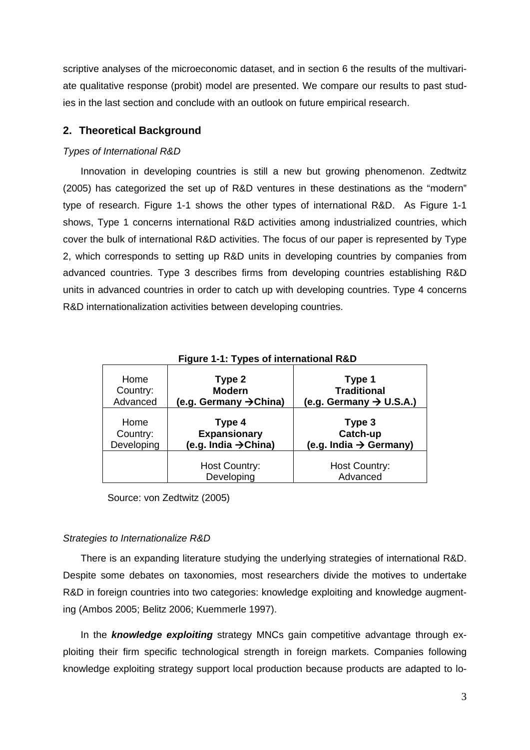scriptive analyses of the microeconomic dataset, and in section 6 the results of the multivariate qualitative response (probit) model are presented. We compare our results to past studies in the last section and conclude with an outlook on future empirical research.

## **2. Theoretical Background**

## *Types of International R&D*

Innovation in developing countries is still a new but growing phenomenon. Zedtwitz (2005) has categorized the set up of R&D ventures in these destinations as the "modern" type of research. Figure 1-1 shows the other types of international R&D. As Figure 1-1 shows, Type 1 concerns international R&D activities among industrialized countries, which cover the bulk of international R&D activities. The focus of our paper is represented by Type 2, which corresponds to setting up R&D units in developing countries by companies from advanced countries. Type 3 describes firms from developing countries establishing R&D units in advanced countries in order to catch up with developing countries. Type 4 concerns R&D internationalization activities between developing countries.

| Figure 1-1: Types of international R&D |                                    |                                     |  |  |
|----------------------------------------|------------------------------------|-------------------------------------|--|--|
| Home                                   | Type 2                             | Type 1                              |  |  |
| Country:                               | <b>Modern</b>                      | <b>Traditional</b>                  |  |  |
| Advanced                               | (e.g. Germany $\rightarrow$ China) | (e.g. Germany $\rightarrow$ U.S.A.) |  |  |
| Home                                   | Type 4                             | Type 3                              |  |  |
| Country:                               | <b>Expansionary</b>                | Catch-up                            |  |  |
| Developing                             | (e.g. India → China)               | (e.g. India $\rightarrow$ Germany)  |  |  |
|                                        | <b>Host Country:</b><br>Developing | Host Country:<br>Advanced           |  |  |

Source: von Zedtwitz (2005)

## *Strategies to Internationalize R&D*

There is an expanding literature studying the underlying strategies of international R&D. Despite some debates on taxonomies, most researchers divide the motives to undertake R&D in foreign countries into two categories: knowledge exploiting and knowledge augmenting (Ambos 2005; Belitz 2006; Kuemmerle 1997).

In the *knowledge exploiting* strategy MNCs gain competitive advantage through exploiting their firm specific technological strength in foreign markets. Companies following knowledge exploiting strategy support local production because products are adapted to lo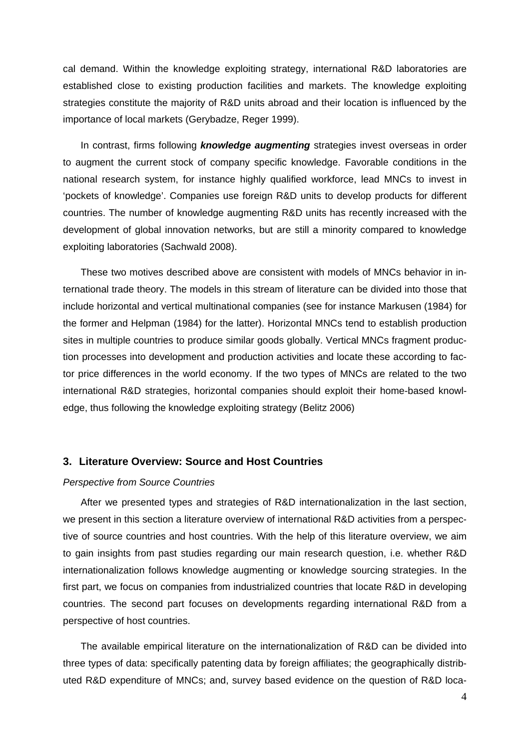cal demand. Within the knowledge exploiting strategy, international R&D laboratories are established close to existing production facilities and markets. The knowledge exploiting strategies constitute the majority of R&D units abroad and their location is influenced by the importance of local markets (Gerybadze, Reger 1999).

In contrast, firms following *knowledge augmenting* strategies invest overseas in order to augment the current stock of company specific knowledge. Favorable conditions in the national research system, for instance highly qualified workforce, lead MNCs to invest in 'pockets of knowledge'. Companies use foreign R&D units to develop products for different countries. The number of knowledge augmenting R&D units has recently increased with the development of global innovation networks, but are still a minority compared to knowledge exploiting laboratories (Sachwald 2008).

These two motives described above are consistent with models of MNCs behavior in international trade theory. The models in this stream of literature can be divided into those that include horizontal and vertical multinational companies (see for instance Markusen (1984) for the former and Helpman (1984) for the latter). Horizontal MNCs tend to establish production sites in multiple countries to produce similar goods globally. Vertical MNCs fragment production processes into development and production activities and locate these according to factor price differences in the world economy. If the two types of MNCs are related to the two international R&D strategies, horizontal companies should exploit their home-based knowledge, thus following the knowledge exploiting strategy (Belitz 2006)

#### **3. Literature Overview: Source and Host Countries**

#### *Perspective from Source Countries*

After we presented types and strategies of R&D internationalization in the last section, we present in this section a literature overview of international R&D activities from a perspective of source countries and host countries. With the help of this literature overview, we aim to gain insights from past studies regarding our main research question, i.e. whether R&D internationalization follows knowledge augmenting or knowledge sourcing strategies. In the first part, we focus on companies from industrialized countries that locate R&D in developing countries. The second part focuses on developments regarding international R&D from a perspective of host countries.

The available empirical literature on the internationalization of R&D can be divided into three types of data: specifically patenting data by foreign affiliates; the geographically distributed R&D expenditure of MNCs; and, survey based evidence on the question of R&D loca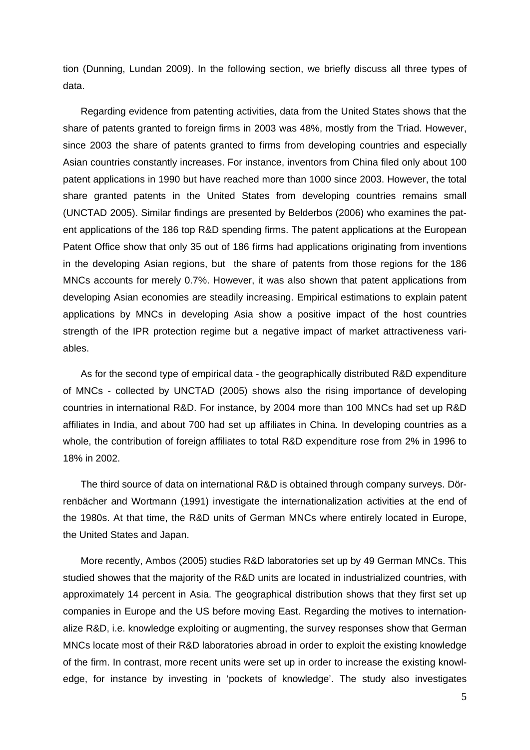tion (Dunning, Lundan 2009). In the following section, we briefly discuss all three types of data.

Regarding evidence from patenting activities, data from the United States shows that the share of patents granted to foreign firms in 2003 was 48%, mostly from the Triad. However, since 2003 the share of patents granted to firms from developing countries and especially Asian countries constantly increases. For instance, inventors from China filed only about 100 patent applications in 1990 but have reached more than 1000 since 2003. However, the total share granted patents in the United States from developing countries remains small (UNCTAD 2005). Similar findings are presented by Belderbos (2006) who examines the patent applications of the 186 top R&D spending firms. The patent applications at the European Patent Office show that only 35 out of 186 firms had applications originating from inventions in the developing Asian regions, but the share of patents from those regions for the 186 MNCs accounts for merely 0.7%. However, it was also shown that patent applications from developing Asian economies are steadily increasing. Empirical estimations to explain patent applications by MNCs in developing Asia show a positive impact of the host countries strength of the IPR protection regime but a negative impact of market attractiveness variables.

As for the second type of empirical data - the geographically distributed R&D expenditure of MNCs - collected by UNCTAD (2005) shows also the rising importance of developing countries in international R&D. For instance, by 2004 more than 100 MNCs had set up R&D affiliates in India, and about 700 had set up affiliates in China. In developing countries as a whole, the contribution of foreign affiliates to total R&D expenditure rose from 2% in 1996 to 18% in 2002.

The third source of data on international R&D is obtained through company surveys. Dörrenbächer and Wortmann (1991) investigate the internationalization activities at the end of the 1980s. At that time, the R&D units of German MNCs where entirely located in Europe, the United States and Japan.

More recently, Ambos (2005) studies R&D laboratories set up by 49 German MNCs. This studied showes that the majority of the R&D units are located in industrialized countries, with approximately 14 percent in Asia. The geographical distribution shows that they first set up companies in Europe and the US before moving East. Regarding the motives to internationalize R&D, i.e. knowledge exploiting or augmenting, the survey responses show that German MNCs locate most of their R&D laboratories abroad in order to exploit the existing knowledge of the firm. In contrast, more recent units were set up in order to increase the existing knowledge, for instance by investing in 'pockets of knowledge'. The study also investigates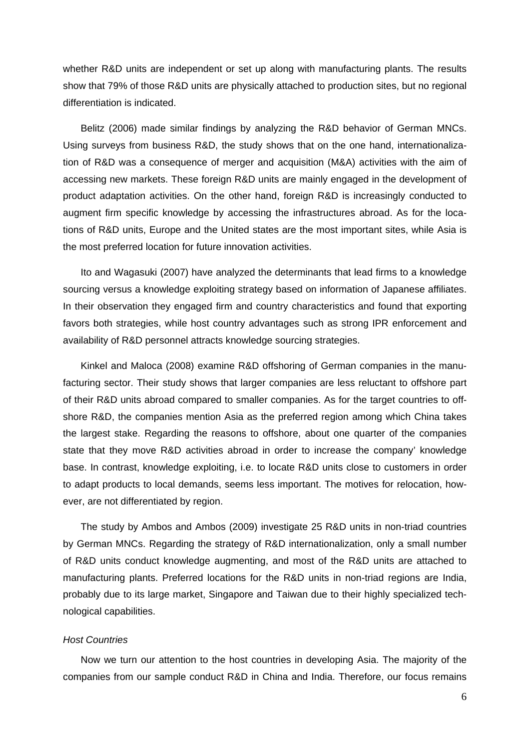whether R&D units are independent or set up along with manufacturing plants. The results show that 79% of those R&D units are physically attached to production sites, but no regional differentiation is indicated.

Belitz (2006) made similar findings by analyzing the R&D behavior of German MNCs. Using surveys from business R&D, the study shows that on the one hand, internationalization of R&D was a consequence of merger and acquisition (M&A) activities with the aim of accessing new markets. These foreign R&D units are mainly engaged in the development of product adaptation activities. On the other hand, foreign R&D is increasingly conducted to augment firm specific knowledge by accessing the infrastructures abroad. As for the locations of R&D units, Europe and the United states are the most important sites, while Asia is the most preferred location for future innovation activities.

Ito and Wagasuki (2007) have analyzed the determinants that lead firms to a knowledge sourcing versus a knowledge exploiting strategy based on information of Japanese affiliates. In their observation they engaged firm and country characteristics and found that exporting favors both strategies, while host country advantages such as strong IPR enforcement and availability of R&D personnel attracts knowledge sourcing strategies.

Kinkel and Maloca (2008) examine R&D offshoring of German companies in the manufacturing sector. Their study shows that larger companies are less reluctant to offshore part of their R&D units abroad compared to smaller companies. As for the target countries to offshore R&D, the companies mention Asia as the preferred region among which China takes the largest stake. Regarding the reasons to offshore, about one quarter of the companies state that they move R&D activities abroad in order to increase the company' knowledge base. In contrast, knowledge exploiting, i.e. to locate R&D units close to customers in order to adapt products to local demands, seems less important. The motives for relocation, however, are not differentiated by region.

The study by Ambos and Ambos (2009) investigate 25 R&D units in non-triad countries by German MNCs. Regarding the strategy of R&D internationalization, only a small number of R&D units conduct knowledge augmenting, and most of the R&D units are attached to manufacturing plants. Preferred locations for the R&D units in non-triad regions are India, probably due to its large market, Singapore and Taiwan due to their highly specialized technological capabilities.

#### *Host Countries*

Now we turn our attention to the host countries in developing Asia. The majority of the companies from our sample conduct R&D in China and India. Therefore, our focus remains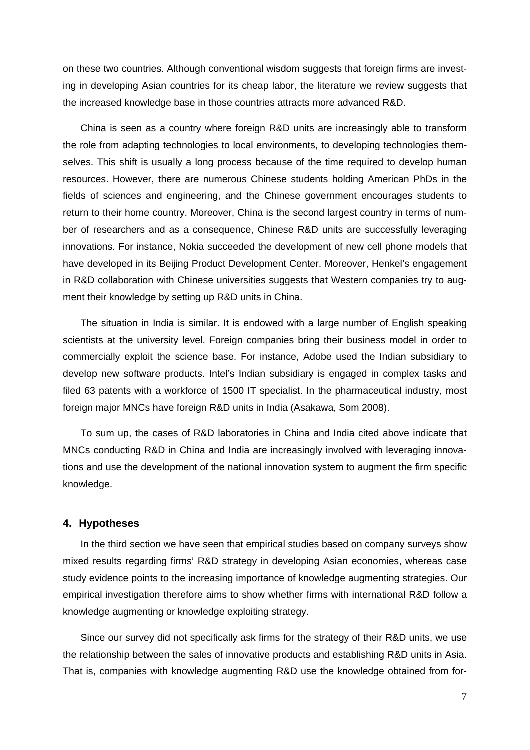on these two countries. Although conventional wisdom suggests that foreign firms are investing in developing Asian countries for its cheap labor, the literature we review suggests that the increased knowledge base in those countries attracts more advanced R&D.

China is seen as a country where foreign R&D units are increasingly able to transform the role from adapting technologies to local environments, to developing technologies themselves. This shift is usually a long process because of the time required to develop human resources. However, there are numerous Chinese students holding American PhDs in the fields of sciences and engineering, and the Chinese government encourages students to return to their home country. Moreover, China is the second largest country in terms of number of researchers and as a consequence, Chinese R&D units are successfully leveraging innovations. For instance, Nokia succeeded the development of new cell phone models that have developed in its Beijing Product Development Center. Moreover, Henkel's engagement in R&D collaboration with Chinese universities suggests that Western companies try to augment their knowledge by setting up R&D units in China.

The situation in India is similar. It is endowed with a large number of English speaking scientists at the university level. Foreign companies bring their business model in order to commercially exploit the science base. For instance, Adobe used the Indian subsidiary to develop new software products. Intel's Indian subsidiary is engaged in complex tasks and filed 63 patents with a workforce of 1500 IT specialist. In the pharmaceutical industry, most foreign major MNCs have foreign R&D units in India (Asakawa, Som 2008).

To sum up, the cases of R&D laboratories in China and India cited above indicate that MNCs conducting R&D in China and India are increasingly involved with leveraging innovations and use the development of the national innovation system to augment the firm specific knowledge.

### **4. Hypotheses**

In the third section we have seen that empirical studies based on company surveys show mixed results regarding firms' R&D strategy in developing Asian economies, whereas case study evidence points to the increasing importance of knowledge augmenting strategies. Our empirical investigation therefore aims to show whether firms with international R&D follow a knowledge augmenting or knowledge exploiting strategy.

Since our survey did not specifically ask firms for the strategy of their R&D units, we use the relationship between the sales of innovative products and establishing R&D units in Asia. That is, companies with knowledge augmenting R&D use the knowledge obtained from for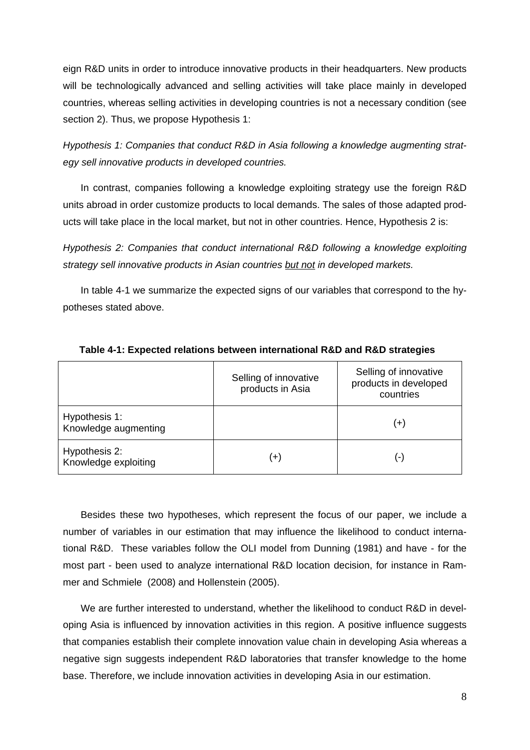eign R&D units in order to introduce innovative products in their headquarters. New products will be technologically advanced and selling activities will take place mainly in developed countries, whereas selling activities in developing countries is not a necessary condition (see section 2). Thus, we propose Hypothesis 1:

*Hypothesis 1: Companies that conduct R&D in Asia following a knowledge augmenting strategy sell innovative products in developed countries.*

In contrast, companies following a knowledge exploiting strategy use the foreign R&D units abroad in order customize products to local demands. The sales of those adapted products will take place in the local market, but not in other countries. Hence, Hypothesis 2 is:

*Hypothesis 2: Companies that conduct international R&D following a knowledge exploiting strategy sell innovative products in Asian countries but not in developed markets.* 

In table 4-1 we summarize the expected signs of our variables that correspond to the hypotheses stated above.

|                                       | Selling of innovative<br>products in Asia | Selling of innovative<br>products in developed<br>countries |
|---------------------------------------|-------------------------------------------|-------------------------------------------------------------|
| Hypothesis 1:<br>Knowledge augmenting |                                           | $\left( +\right)$                                           |
| Hypothesis 2:<br>Knowledge exploiting | $\left( +\right)$                         | . – )                                                       |

**Table 4-1: Expected relations between international R&D and R&D strategies** 

Besides these two hypotheses, which represent the focus of our paper, we include a number of variables in our estimation that may influence the likelihood to conduct international R&D. These variables follow the OLI model from Dunning (1981) and have - for the most part - been used to analyze international R&D location decision, for instance in Rammer and Schmiele (2008) and Hollenstein (2005).

We are further interested to understand, whether the likelihood to conduct R&D in developing Asia is influenced by innovation activities in this region. A positive influence suggests that companies establish their complete innovation value chain in developing Asia whereas a negative sign suggests independent R&D laboratories that transfer knowledge to the home base. Therefore, we include innovation activities in developing Asia in our estimation.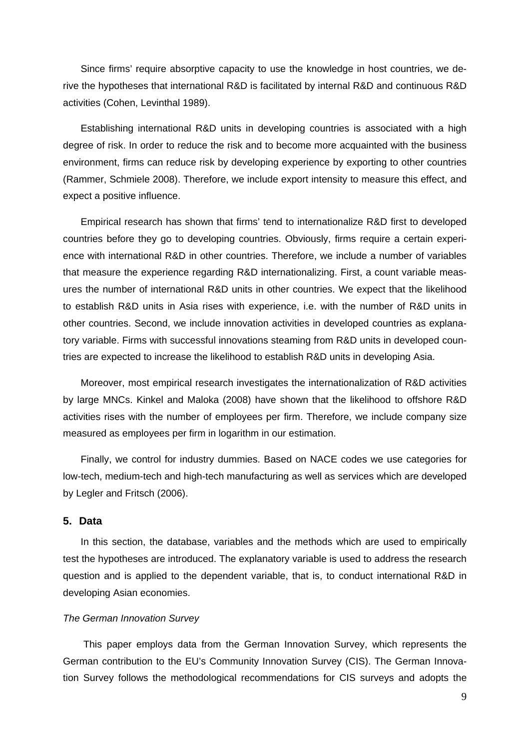Since firms' require absorptive capacity to use the knowledge in host countries, we derive the hypotheses that international R&D is facilitated by internal R&D and continuous R&D activities (Cohen, Levinthal 1989).

Establishing international R&D units in developing countries is associated with a high degree of risk. In order to reduce the risk and to become more acquainted with the business environment, firms can reduce risk by developing experience by exporting to other countries (Rammer, Schmiele 2008). Therefore, we include export intensity to measure this effect, and expect a positive influence.

Empirical research has shown that firms' tend to internationalize R&D first to developed countries before they go to developing countries. Obviously, firms require a certain experience with international R&D in other countries. Therefore, we include a number of variables that measure the experience regarding R&D internationalizing. First, a count variable measures the number of international R&D units in other countries. We expect that the likelihood to establish R&D units in Asia rises with experience, i.e. with the number of R&D units in other countries. Second, we include innovation activities in developed countries as explanatory variable. Firms with successful innovations steaming from R&D units in developed countries are expected to increase the likelihood to establish R&D units in developing Asia.

Moreover, most empirical research investigates the internationalization of R&D activities by large MNCs. Kinkel and Maloka (2008) have shown that the likelihood to offshore R&D activities rises with the number of employees per firm. Therefore, we include company size measured as employees per firm in logarithm in our estimation.

Finally, we control for industry dummies. Based on NACE codes we use categories for low-tech, medium-tech and high-tech manufacturing as well as services which are developed by Legler and Fritsch (2006).

## **5. Data**

In this section, the database, variables and the methods which are used to empirically test the hypotheses are introduced. The explanatory variable is used to address the research question and is applied to the dependent variable, that is, to conduct international R&D in developing Asian economies.

### *The German Innovation Survey*

 This paper employs data from the German Innovation Survey, which represents the German contribution to the EU's Community Innovation Survey (CIS). The German Innovation Survey follows the methodological recommendations for CIS surveys and adopts the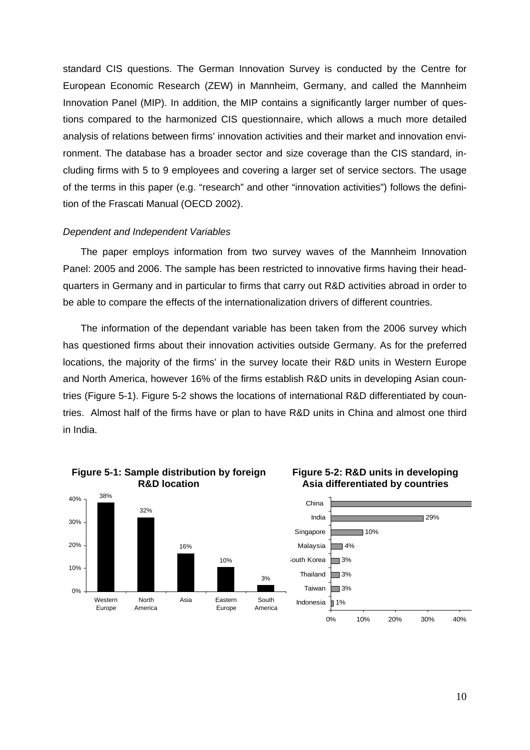standard CIS questions. The German Innovation Survey is conducted by the Centre for European Economic Research (ZEW) in Mannheim, Germany, and called the Mannheim Innovation Panel (MIP). In addition, the MIP contains a significantly larger number of questions compared to the harmonized CIS questionnaire, which allows a much more detailed analysis of relations between firms' innovation activities and their market and innovation environment. The database has a broader sector and size coverage than the CIS standard, including firms with 5 to 9 employees and covering a larger set of service sectors. The usage of the terms in this paper (e.g. "research" and other "innovation activities") follows the definition of the Frascati Manual (OECD 2002).

### *Dependent and Independent Variables*

The paper employs information from two survey waves of the Mannheim Innovation Panel: 2005 and 2006. The sample has been restricted to innovative firms having their headquarters in Germany and in particular to firms that carry out R&D activities abroad in order to be able to compare the effects of the internationalization drivers of different countries.

The information of the dependant variable has been taken from the 2006 survey which has questioned firms about their innovation activities outside Germany. As for the preferred locations, the majority of the firms' in the survey locate their R&D units in Western Europe and North America, however 16% of the firms establish R&D units in developing Asian countries (Figure 5-1). Figure 5-2 shows the locations of international R&D differentiated by countries. Almost half of the firms have or plan to have R&D units in China and almost one third in India.

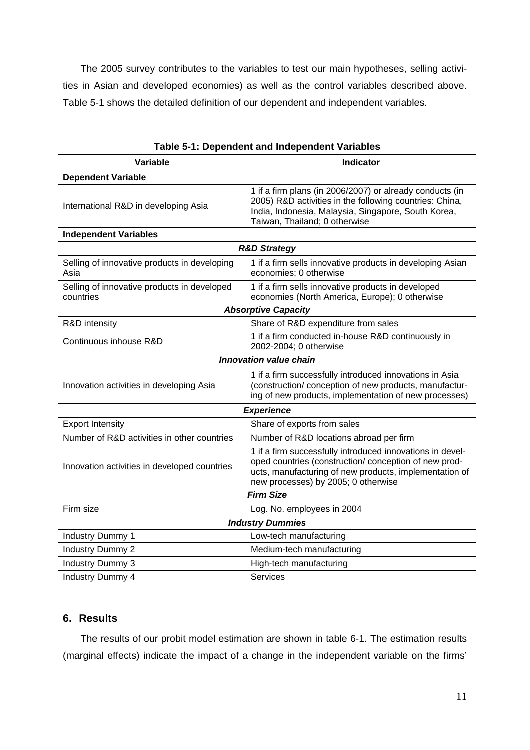The 2005 survey contributes to the variables to test our main hypotheses, selling activities in Asian and developed economies) as well as the control variables described above. Table 5-1 shows the detailed definition of our dependent and independent variables.

| Variable                                                 | <b>Indicator</b>                                                                                                                                                                                                    |  |  |  |  |
|----------------------------------------------------------|---------------------------------------------------------------------------------------------------------------------------------------------------------------------------------------------------------------------|--|--|--|--|
| <b>Dependent Variable</b>                                |                                                                                                                                                                                                                     |  |  |  |  |
| International R&D in developing Asia                     | 1 if a firm plans (in 2006/2007) or already conducts (in<br>2005) R&D activities in the following countries: China,<br>India, Indonesia, Malaysia, Singapore, South Korea,<br>Taiwan, Thailand; 0 otherwise         |  |  |  |  |
| <b>Independent Variables</b>                             |                                                                                                                                                                                                                     |  |  |  |  |
| <b>R&amp;D Strategy</b>                                  |                                                                                                                                                                                                                     |  |  |  |  |
| Selling of innovative products in developing<br>Asia     | 1 if a firm sells innovative products in developing Asian<br>economies; 0 otherwise                                                                                                                                 |  |  |  |  |
| Selling of innovative products in developed<br>countries | 1 if a firm sells innovative products in developed<br>economies (North America, Europe); 0 otherwise                                                                                                                |  |  |  |  |
| <b>Absorptive Capacity</b>                               |                                                                                                                                                                                                                     |  |  |  |  |
| R&D intensity                                            | Share of R&D expenditure from sales                                                                                                                                                                                 |  |  |  |  |
| Continuous inhouse R&D                                   | 1 if a firm conducted in-house R&D continuously in<br>2002-2004; 0 otherwise                                                                                                                                        |  |  |  |  |
|                                                          | <b>Innovation value chain</b>                                                                                                                                                                                       |  |  |  |  |
| Innovation activities in developing Asia                 | 1 if a firm successfully introduced innovations in Asia<br>(construction/ conception of new products, manufactur-<br>ing of new products, implementation of new processes)                                          |  |  |  |  |
| <b>Experience</b>                                        |                                                                                                                                                                                                                     |  |  |  |  |
| <b>Export Intensity</b>                                  | Share of exports from sales                                                                                                                                                                                         |  |  |  |  |
| Number of R&D activities in other countries              | Number of R&D locations abroad per firm                                                                                                                                                                             |  |  |  |  |
| Innovation activities in developed countries             | 1 if a firm successfully introduced innovations in devel-<br>oped countries (construction/ conception of new prod-<br>ucts, manufacturing of new products, implementation of<br>new processes) by 2005; 0 otherwise |  |  |  |  |
| <b>Firm Size</b>                                         |                                                                                                                                                                                                                     |  |  |  |  |
| Firm size                                                | Log. No. employees in 2004                                                                                                                                                                                          |  |  |  |  |
| <b>Industry Dummies</b>                                  |                                                                                                                                                                                                                     |  |  |  |  |
| <b>Industry Dummy 1</b>                                  | Low-tech manufacturing                                                                                                                                                                                              |  |  |  |  |
| <b>Industry Dummy 2</b>                                  | Medium-tech manufacturing                                                                                                                                                                                           |  |  |  |  |
| Industry Dummy 3                                         | High-tech manufacturing                                                                                                                                                                                             |  |  |  |  |
| Industry Dummy 4                                         | <b>Services</b>                                                                                                                                                                                                     |  |  |  |  |

**Table 5-1: Dependent and Independent Variables** 

## **6. Results**

The results of our probit model estimation are shown in table 6-1. The estimation results (marginal effects) indicate the impact of a change in the independent variable on the firms'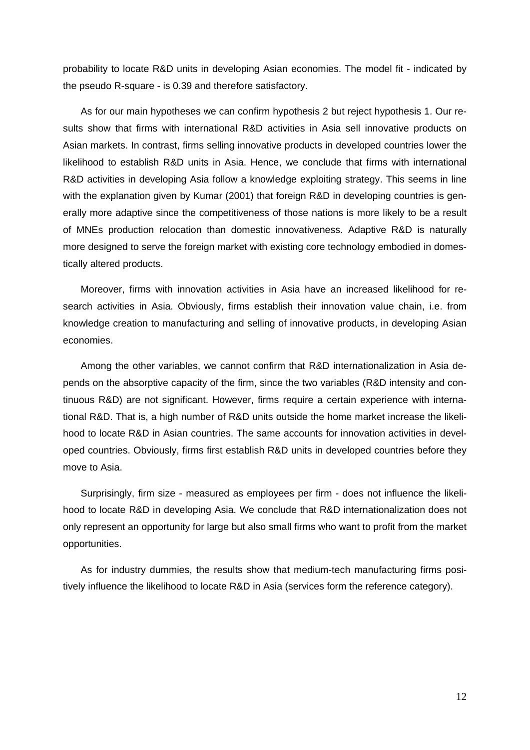probability to locate R&D units in developing Asian economies. The model fit - indicated by the pseudo R-square - is 0.39 and therefore satisfactory.

As for our main hypotheses we can confirm hypothesis 2 but reject hypothesis 1. Our results show that firms with international R&D activities in Asia sell innovative products on Asian markets. In contrast, firms selling innovative products in developed countries lower the likelihood to establish R&D units in Asia. Hence, we conclude that firms with international R&D activities in developing Asia follow a knowledge exploiting strategy. This seems in line with the explanation given by Kumar (2001) that foreign R&D in developing countries is generally more adaptive since the competitiveness of those nations is more likely to be a result of MNEs production relocation than domestic innovativeness. Adaptive R&D is naturally more designed to serve the foreign market with existing core technology embodied in domestically altered products.

Moreover, firms with innovation activities in Asia have an increased likelihood for research activities in Asia. Obviously, firms establish their innovation value chain, i.e. from knowledge creation to manufacturing and selling of innovative products, in developing Asian economies.

Among the other variables, we cannot confirm that R&D internationalization in Asia depends on the absorptive capacity of the firm, since the two variables (R&D intensity and continuous R&D) are not significant. However, firms require a certain experience with international R&D. That is, a high number of R&D units outside the home market increase the likelihood to locate R&D in Asian countries. The same accounts for innovation activities in developed countries. Obviously, firms first establish R&D units in developed countries before they move to Asia.

Surprisingly, firm size - measured as employees per firm - does not influence the likelihood to locate R&D in developing Asia. We conclude that R&D internationalization does not only represent an opportunity for large but also small firms who want to profit from the market opportunities.

As for industry dummies, the results show that medium-tech manufacturing firms positively influence the likelihood to locate R&D in Asia (services form the reference category).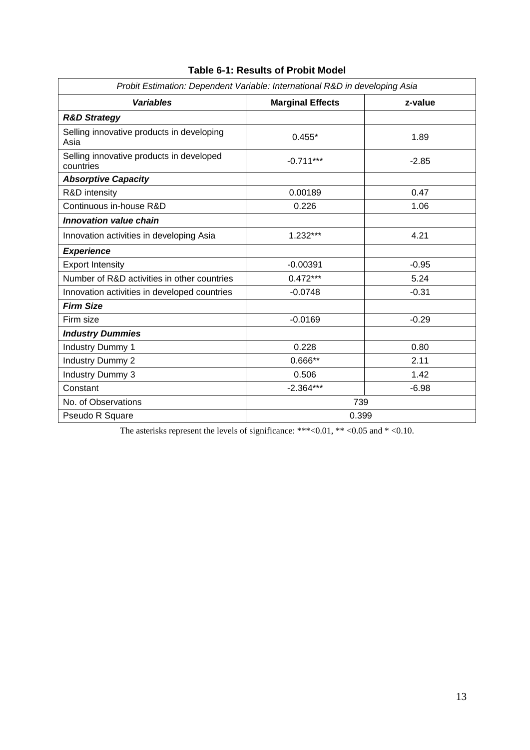| Probit Estimation: Dependent Variable: International R&D in developing Asia |                         |         |  |  |
|-----------------------------------------------------------------------------|-------------------------|---------|--|--|
| <b>Variables</b>                                                            | <b>Marginal Effects</b> | z-value |  |  |
| <b>R&amp;D Strategy</b>                                                     |                         |         |  |  |
| Selling innovative products in developing<br>Asia                           | $0.455*$                | 1.89    |  |  |
| Selling innovative products in developed<br>countries                       | $-0.711***$             | $-2.85$ |  |  |
| <b>Absorptive Capacity</b>                                                  |                         |         |  |  |
| R&D intensity                                                               | 0.00189                 | 0.47    |  |  |
| Continuous in-house R&D                                                     | 0.226                   | 1.06    |  |  |
| <b>Innovation value chain</b>                                               |                         |         |  |  |
| Innovation activities in developing Asia                                    | $1.232***$              | 4.21    |  |  |
| <b>Experience</b>                                                           |                         |         |  |  |
| <b>Export Intensity</b>                                                     | $-0.00391$              | $-0.95$ |  |  |
| Number of R&D activities in other countries                                 | $0.472***$              | 5.24    |  |  |
| Innovation activities in developed countries                                | $-0.0748$               | $-0.31$ |  |  |
| <b>Firm Size</b>                                                            |                         |         |  |  |
| Firm size                                                                   | $-0.0169$               | $-0.29$ |  |  |
| <b>Industry Dummies</b>                                                     |                         |         |  |  |
| Industry Dummy 1                                                            | 0.228                   | 0.80    |  |  |
| Industry Dummy 2                                                            | $0.666**$               | 2.11    |  |  |
| <b>Industry Dummy 3</b>                                                     | 0.506                   | 1.42    |  |  |
| Constant                                                                    | $-2.364***$             | $-6.98$ |  |  |
| No. of Observations                                                         | 739                     |         |  |  |
| Pseudo R Square                                                             |                         | 0.399   |  |  |

# **Table 6-1: Results of Probit Model**

The asterisks represent the levels of significance: \*\*\*<0.01, \*\* <0.05 and \* <0.10.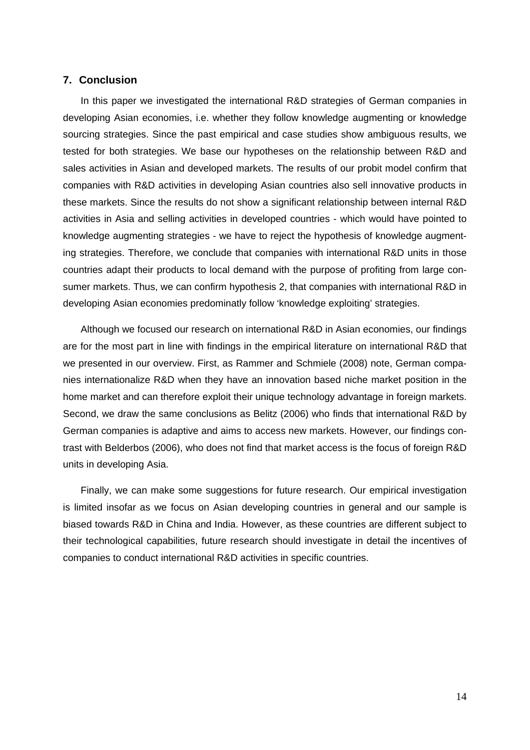### **7. Conclusion**

In this paper we investigated the international R&D strategies of German companies in developing Asian economies, i.e. whether they follow knowledge augmenting or knowledge sourcing strategies. Since the past empirical and case studies show ambiguous results, we tested for both strategies. We base our hypotheses on the relationship between R&D and sales activities in Asian and developed markets. The results of our probit model confirm that companies with R&D activities in developing Asian countries also sell innovative products in these markets. Since the results do not show a significant relationship between internal R&D activities in Asia and selling activities in developed countries - which would have pointed to knowledge augmenting strategies - we have to reject the hypothesis of knowledge augmenting strategies. Therefore, we conclude that companies with international R&D units in those countries adapt their products to local demand with the purpose of profiting from large consumer markets. Thus, we can confirm hypothesis 2, that companies with international R&D in developing Asian economies predominatly follow 'knowledge exploiting' strategies.

Although we focused our research on international R&D in Asian economies, our findings are for the most part in line with findings in the empirical literature on international R&D that we presented in our overview. First, as Rammer and Schmiele (2008) note, German companies internationalize R&D when they have an innovation based niche market position in the home market and can therefore exploit their unique technology advantage in foreign markets. Second, we draw the same conclusions as Belitz (2006) who finds that international R&D by German companies is adaptive and aims to access new markets. However, our findings contrast with Belderbos (2006), who does not find that market access is the focus of foreign R&D units in developing Asia.

Finally, we can make some suggestions for future research. Our empirical investigation is limited insofar as we focus on Asian developing countries in general and our sample is biased towards R&D in China and India. However, as these countries are different subject to their technological capabilities, future research should investigate in detail the incentives of companies to conduct international R&D activities in specific countries.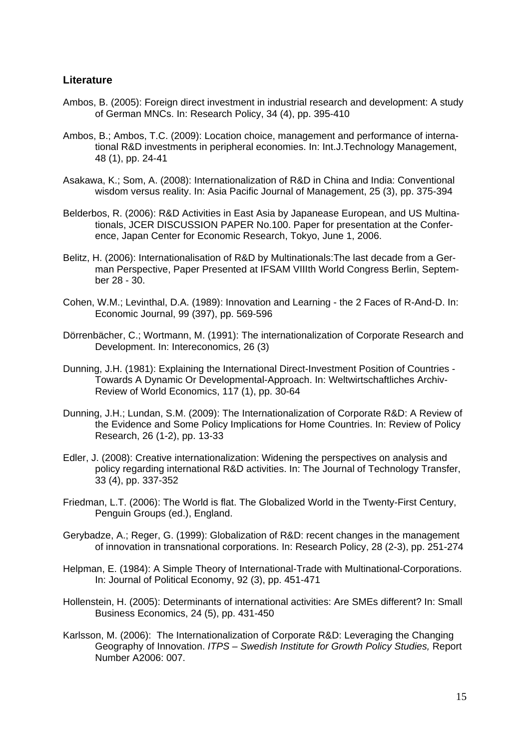## **Literature**

- Ambos, B. (2005): Foreign direct investment in industrial research and development: A study of German MNCs. In: Research Policy, 34 (4), pp. 395-410
- Ambos, B.; Ambos, T.C. (2009): Location choice, management and performance of international R&D investments in peripheral economies. In: Int.J.Technology Management, 48 (1), pp. 24-41
- Asakawa, K.; Som, A. (2008): Internationalization of R&D in China and India: Conventional wisdom versus reality. In: Asia Pacific Journal of Management, 25 (3), pp. 375-394
- Belderbos, R. (2006): R&D Activities in East Asia by Japanease European, and US Multinationals, JCER DISCUSSION PAPER No.100. Paper for presentation at the Conference, Japan Center for Economic Research, Tokyo, June 1, 2006.
- Belitz, H. (2006): Internationalisation of R&D by Multinationals:The last decade from a German Perspective, Paper Presented at IFSAM VIIIth World Congress Berlin, September 28 - 30.
- Cohen, W.M.; Levinthal, D.A. (1989): Innovation and Learning the 2 Faces of R-And-D. In: Economic Journal, 99 (397), pp. 569-596
- Dörrenbächer, C.; Wortmann, M. (1991): The internationalization of Corporate Research and Development. In: Intereconomics, 26 (3)
- Dunning, J.H. (1981): Explaining the International Direct-Investment Position of Countries Towards A Dynamic Or Developmental-Approach. In: Weltwirtschaftliches Archiv-Review of World Economics, 117 (1), pp. 30-64
- Dunning, J.H.; Lundan, S.M. (2009): The Internationalization of Corporate R&D: A Review of the Evidence and Some Policy Implications for Home Countries. In: Review of Policy Research, 26 (1-2), pp. 13-33
- Edler, J. (2008): Creative internationalization: Widening the perspectives on analysis and policy regarding international R&D activities. In: The Journal of Technology Transfer, 33 (4), pp. 337-352
- Friedman, L.T. (2006): The World is flat. The Globalized World in the Twenty-First Century, Penguin Groups (ed.), England.
- Gerybadze, A.; Reger, G. (1999): Globalization of R&D: recent changes in the management of innovation in transnational corporations. In: Research Policy, 28 (2-3), pp. 251-274
- Helpman, E. (1984): A Simple Theory of International-Trade with Multinational-Corporations. In: Journal of Political Economy, 92 (3), pp. 451-471
- Hollenstein, H. (2005): Determinants of international activities: Are SMEs different? In: Small Business Economics, 24 (5), pp. 431-450
- Karlsson, M. (2006): The Internationalization of Corporate R&D: Leveraging the Changing Geography of Innovation. *ITPS – Swedish Institute for Growth Policy Studies,* Report Number A2006: 007.